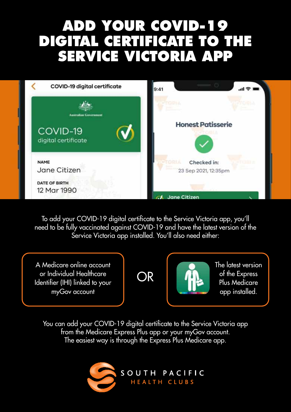## **ADD YOUR COVID-19 DIGITAL CERTIFICATE TO THE SERVICE VICTORIA APP**

| COVID-19 digital certificate                                    | 9:41<br>ᆒ 중                                 |
|-----------------------------------------------------------------|---------------------------------------------|
|                                                                 | o o i                                       |
| <b>Australian Government</b><br>COVID-19<br>digital certificate | <b>Honest Patisserie</b>                    |
| <b>NAME</b><br>Jane Citizen                                     | Checked in:<br>OOLA<br>23 Sep 2021, 12:35pm |
| DATE OF BIRTH<br>12 Mar 1990                                    | <b>Jane Citizen</b>                         |

To add your COVID-19 digital certificate to the Service Victoria app, you'll need to be fully vaccinated against COVID-19 and have the latest version of the Service Victoria app installed. You'll also need either:

A Medicare online account or Individual Healthcare Identifier (IHI) linked to your myGov account





The latest version of the Express Plus Medicare app installed.

You can add your COVID-19 digital certificate to the Service Victoria app from the Medicare Express Plus app or your myGov account. The easiest way is through the Express Plus Medicare app.